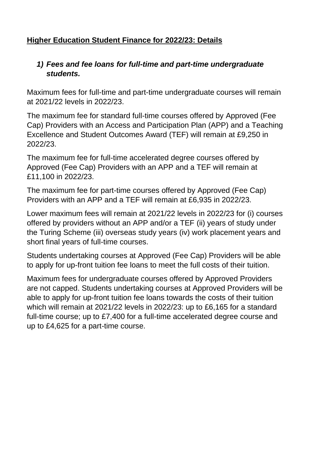# **Higher Education Student Finance for 2022/23: Details**

## *1) Fees and fee loans for full-time and part-time undergraduate students.*

Maximum fees for full-time and part-time undergraduate courses will remain at 2021/22 levels in 2022/23.

The maximum fee for standard full-time courses offered by Approved (Fee Cap) Providers with an Access and Participation Plan (APP) and a Teaching Excellence and Student Outcomes Award (TEF) will remain at £9,250 in 2022/23.

The maximum fee for full-time accelerated degree courses offered by Approved (Fee Cap) Providers with an APP and a TEF will remain at £11,100 in 2022/23.

The maximum fee for part-time courses offered by Approved (Fee Cap) Providers with an APP and a TEF will remain at £6,935 in 2022/23.

Lower maximum fees will remain at 2021/22 levels in 2022/23 for (i) courses offered by providers without an APP and/or a TEF (ii) years of study under the Turing Scheme (iii) overseas study years (iv) work placement years and short final years of full-time courses.

Students undertaking courses at Approved (Fee Cap) Providers will be able to apply for up-front tuition fee loans to meet the full costs of their tuition.

Maximum fees for undergraduate courses offered by Approved Providers are not capped. Students undertaking courses at Approved Providers will be able to apply for up-front tuition fee loans towards the costs of their tuition which will remain at 2021/22 levels in 2022/23: up to £6,165 for a standard full-time course; up to £7,400 for a full-time accelerated degree course and up to £4,625 for a part-time course.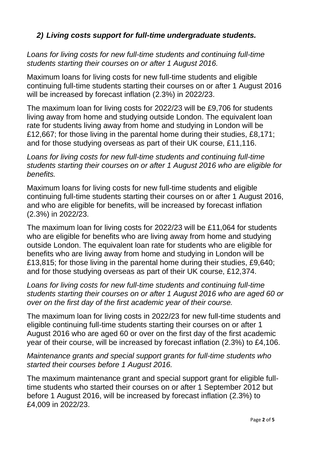## *2) Living costs support for full-time undergraduate students.*

*Loans for living costs for new full-time students and continuing full-time students starting their courses on or after 1 August 2016.* 

Maximum loans for living costs for new full-time students and eligible continuing full-time students starting their courses on or after 1 August 2016 will be increased by forecast inflation (2.3%) in 2022/23.

The maximum loan for living costs for 2022/23 will be £9,706 for students living away from home and studying outside London. The equivalent loan rate for students living away from home and studying in London will be £12,667; for those living in the parental home during their studies, £8,171; and for those studying overseas as part of their UK course, £11,116.

*Loans for living costs for new full-time students and continuing full-time students starting their courses on or after 1 August 2016 who are eligible for benefits.* 

Maximum loans for living costs for new full-time students and eligible continuing full-time students starting their courses on or after 1 August 2016, and who are eligible for benefits, will be increased by forecast inflation (2.3%) in 2022/23.

The maximum loan for living costs for 2022/23 will be £11,064 for students who are eligible for benefits who are living away from home and studying outside London. The equivalent loan rate for students who are eligible for benefits who are living away from home and studying in London will be £13,815; for those living in the parental home during their studies, £9,640; and for those studying overseas as part of their UK course, £12,374.

*Loans for living costs for new full-time students and continuing full-time students starting their courses on or after 1 August 2016 who are aged 60 or over on the first day of the first academic year of their course.* 

The maximum loan for living costs in 2022/23 for new full-time students and eligible continuing full-time students starting their courses on or after 1 August 2016 who are aged 60 or over on the first day of the first academic year of their course, will be increased by forecast inflation (2.3%) to £4,106.

*Maintenance grants and special support grants for full-time students who started their courses before 1 August 2016.* 

The maximum maintenance grant and special support grant for eligible fulltime students who started their courses on or after 1 September 2012 but before 1 August 2016, will be increased by forecast inflation (2.3%) to £4,009 in 2022/23.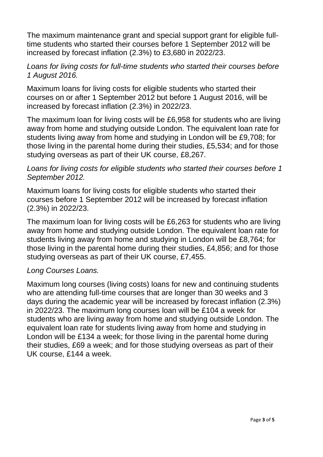The maximum maintenance grant and special support grant for eligible fulltime students who started their courses before 1 September 2012 will be increased by forecast inflation (2.3%) to £3,680 in 2022/23.

#### *Loans for living costs for full-time students who started their courses before 1 August 2016.*

Maximum loans for living costs for eligible students who started their courses on or after 1 September 2012 but before 1 August 2016, will be increased by forecast inflation (2.3%) in 2022/23.

The maximum loan for living costs will be £6,958 for students who are living away from home and studying outside London. The equivalent loan rate for students living away from home and studying in London will be £9,708; for those living in the parental home during their studies, £5,534; and for those studying overseas as part of their UK course, £8,267.

### *Loans for living costs for eligible students who started their courses before 1 September 2012.*

Maximum loans for living costs for eligible students who started their courses before 1 September 2012 will be increased by forecast inflation (2.3%) in 2022/23.

The maximum loan for living costs will be £6,263 for students who are living away from home and studying outside London. The equivalent loan rate for students living away from home and studying in London will be £8,764; for those living in the parental home during their studies, £4,856; and for those studying overseas as part of their UK course, £7,455.

### *Long Courses Loans.*

Maximum long courses (living costs) loans for new and continuing students who are attending full-time courses that are longer than 30 weeks and 3 days during the academic year will be increased by forecast inflation (2.3%) in 2022/23. The maximum long courses loan will be £104 a week for students who are living away from home and studying outside London. The equivalent loan rate for students living away from home and studying in London will be £134 a week; for those living in the parental home during their studies, £69 a week; and for those studying overseas as part of their UK course, £144 a week.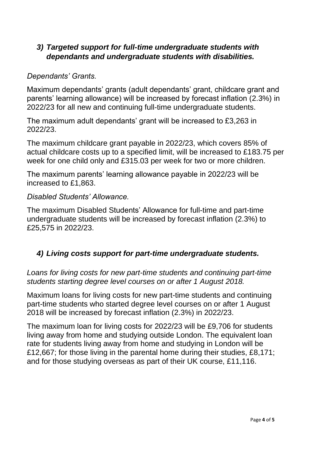## *3) Targeted support for full-time undergraduate students with dependants and undergraduate students with disabilities.*

#### *Dependants' Grants.*

Maximum dependants' grants (adult dependants' grant, childcare grant and parents' learning allowance) will be increased by forecast inflation (2.3%) in 2022/23 for all new and continuing full-time undergraduate students.

The maximum adult dependants' grant will be increased to £3,263 in 2022/23.

The maximum childcare grant payable in 2022/23, which covers 85% of actual childcare costs up to a specified limit, will be increased to £183.75 per week for one child only and £315.03 per week for two or more children.

The maximum parents' learning allowance payable in 2022/23 will be increased to £1,863.

#### *Disabled Students' Allowance.*

The maximum Disabled Students' Allowance for full-time and part-time undergraduate students will be increased by forecast inflation (2.3%) to £25,575 in 2022/23.

## *4) Living costs support for part-time undergraduate students.*

*Loans for living costs for new part-time students and continuing part-time students starting degree level courses on or after 1 August 2018.* 

Maximum loans for living costs for new part-time students and continuing part-time students who started degree level courses on or after 1 August 2018 will be increased by forecast inflation (2.3%) in 2022/23.

The maximum loan for living costs for 2022/23 will be £9,706 for students living away from home and studying outside London. The equivalent loan rate for students living away from home and studying in London will be £12,667; for those living in the parental home during their studies, £8,171; and for those studying overseas as part of their UK course, £11,116.